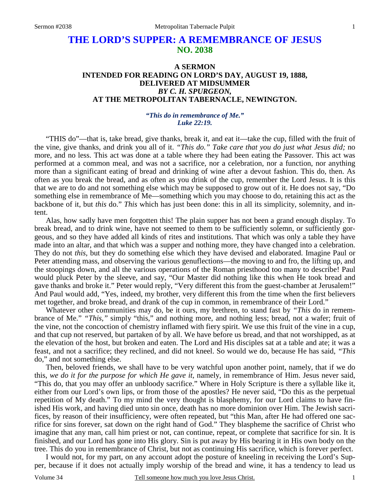# **THE LORD'S SUPPER: A REMEMBRANCE OF JESUS NO. 2038**

## **A SERMON INTENDED FOR READING ON LORD'S DAY, AUGUST 19, 1888, DELIVERED AT MIDSUMMER**  *BY C. H. SPURGEON,*  **AT THE METROPOLITAN TABERNACLE, NEWINGTON.**

#### *"This do in remembrance of Me." Luke 22:19.*

"THIS do"—that is, take bread, give thanks, break it, and eat it—take the cup, filled with the fruit of the vine, give thanks, and drink you all of it. *"This do." Take care that you do just what Jesus did;* no more, and no less. This act was done at a table where they had been eating the Passover. This act was performed at a common meal, and was not a sacrifice, nor a celebration, nor a function, nor anything more than a significant eating of bread and drinking of wine after a devout fashion. This do, then. As often as you break the bread, and as often as you drink of the cup, remember the Lord Jesus. It is this that we are to do and not something else which may be supposed to grow out of it. He does not say, "Do something else in remembrance of Me—something which you may choose to do, retaining this act as the backbone of it, but *this* do." *This* which has just been done: this in all its simplicity, solemnity, and intent.

Alas, how sadly have men forgotten this! The plain supper has not been a grand enough display. To break bread, and to drink wine, have not seemed to them to be sufficiently solemn, or sufficiently gorgeous, and so they have added all kinds of rites and institutions. That which was only a table they have made into an altar, and that which was a supper and nothing more, they have changed into a celebration. They do not *this,* but they do something else which they have devised and elaborated. Imagine Paul or Peter attending mass, and observing the various genuflections—the moving to and fro, the lifting up, and the stoopings down, and all the various operations of the Roman priesthood too many to describe! Paul would pluck Peter by the sleeve, and say, "Our Master did nothing like this when He took bread and gave thanks and broke it." Peter would reply, "Very different this from the guest-chamber at Jerusalem!" And Paul would add, "Yes, indeed, my brother, very different this from the time when the first believers met together, and broke bread, and drank of the cup in common, in remembrance of their Lord."

Whatever other communities may do, be it ours, my brethren, to stand fast by *"This* do in remembrance of Me." *"This,"* simply "this," and nothing more, and nothing less; bread, not a wafer; fruit of the vine, not the concoction of chemistry inflamed with fiery spirit. We use this fruit of the vine in a cup, and that cup not reserved, but partaken of by all. We have before us bread, and that not worshipped, as at the elevation of the host, but broken and eaten. The Lord and His disciples sat at a table and ate; it was a feast, and not a sacrifice; they reclined, and did not kneel. So would we do, because He has said, *"This* do," and not something else.

Then, beloved friends, we shall have to be very watchful upon another point, namely, that if we do this, *we do it for the purpose for which He gave it,* namely, in remembrance of Him. Jesus never said, "This do, that you may offer an unbloody sacrifice." Where in Holy Scripture is there a syllable like it, either from our Lord's own lips, or from those of the apostles? He never said, "Do this as the perpetual repetition of My death." To my mind the very thought is blasphemy, for our Lord claims to have finished His work, and having died unto sin once, death has no more dominion over Him. The Jewish sacrifices, by reason of their insufficiency, were often repeated, but "this Man, after He had offered one sacrifice for sins forever, sat down on the right hand of God." They blaspheme the sacrifice of Christ who imagine that any man, call him priest or not, can continue, repeat, or complete that sacrifice for sin. It is finished, and our Lord has gone into His glory. Sin is put away by His bearing it in His own body on the tree. This do you in remembrance of Christ, but not as continuing His sacrifice, which is forever perfect.

I would not, for my part, on any account adopt the posture of kneeling in receiving the Lord's Supper, because if it does not actually imply worship of the bread and wine, it has a tendency to lead us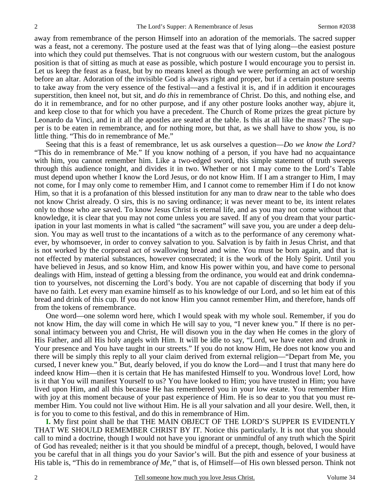away from remembrance of the person Himself into an adoration of the memorials. The sacred supper was a feast, not a ceremony. The posture used at the feast was that of lying along—the easiest posture into which they could put themselves. That is not congruous with our western custom, but the analogous position is that of sitting as much at ease as possible, which posture I would encourage you to persist in. Let us keep the feast as a feast, but by no means kneel as though we were performing an act of worship before an altar. Adoration of the invisible God is always right and proper, but if a certain posture seems to take away from the very essence of the festival—and a festival it is, and if in addition it encourages superstition, then kneel not, but sit, and *do this* in remembrance of Christ. Do this, and nothing else, and do it in remembrance, and for no other purpose, and if any other posture looks another way, abjure it, and keep close to that for which you have a precedent. The Church of Rome prizes the great picture by Leonardo da Vinci, and in it all the apostles are seated at the table. Is this at all like the mass? The supper is to be eaten in remembrance, and for nothing more, but that, as we shall have to show you, is no little thing. "This do in remembrance of Me."

Seeing that this is a feast of remembrance, let us ask ourselves a question—*Do we know the Lord?* "This do in remembrance of Me." If you know nothing of a person, if you have had no acquaintance with him, you cannot remember him. Like a two-edged sword, this simple statement of truth sweeps through this audience tonight, and divides it in two. Whether or not I may come to the Lord's Table must depend upon whether I know the Lord Jesus, or do not know Him. If I am a stranger to Him, I may not come, for I may only come to remember Him, and I cannot come to remember Him if I do not know Him, so that it is a profanation of this blessed institution for any man to draw near to the table who does not know Christ already. O sirs, this is no saving ordinance; it was never meant to be, its intent relates only to those who are saved. To know Jesus Christ is eternal life, and as you may not come without that knowledge, it is clear that you may not come unless you are saved. If any of you dream that your participation in your last moments in what is called "the sacrament" will save you, you are under a deep delusion. You may as well trust to the incantations of a witch as to the performance of any ceremony whatever, by whomsoever, in order to convey salvation to you. Salvation is by faith in Jesus Christ, and that is not worked by the corporeal act of swallowing bread and wine. You must be born again, and that is not effected by material substances, however consecrated; it is the work of the Holy Spirit. Until you have believed in Jesus, and so know Him, and know His power within you, and have come to personal dealings with Him, instead of getting a blessing from the ordinance, you would eat and drink condemnation to yourselves, not discerning the Lord's body. You are not capable of discerning that body if you have no faith. Let every man examine himself as to his knowledge of our Lord, and so let him eat of this bread and drink of this cup. If you do not know Him you cannot remember Him, and therefore, hands off from the tokens of remembrance.

One word—one solemn word here, which I would speak with my whole soul. Remember, if you do not know Him, the day will come in which He will say to you, "I never knew you." If there is no personal intimacy between you and Christ, He will disown you in the day when He comes in the glory of His Father, and all His holy angels with Him. It will be idle to say, "Lord, we have eaten and drunk in Your presence and You have taught in our streets." If you do not know Him, He does not know you and there will be simply this reply to all your claim derived from external religion—"Depart from Me, you cursed, I never knew you." But, dearly beloved, if you do know the Lord—and I trust that many here do indeed know Him—then it is certain that He has manifested Himself to you. Wondrous love! Lord, how is it that You will manifest Yourself to us? You have looked to Him; you have trusted in Him; you have lived upon Him, and all this because He has remembered you in your low estate. You remember Him with joy at this moment because of your past experience of Him. He is so dear to you that you must remember Him. You could not live without Him. He is all your salvation and all your desire. Well, then, it is for you to come to this festival, and do this in remembrance of Him.

**I.** My first point shall be that THE MAIN OBJECT OF THE LORD'S SUPPER IS EVIDENTLY THAT WE SHOULD REMEMBER CHRIST BY IT. Notice this particularly. It is not that you should call to mind a doctrine, though I would not have you ignorant or unmindful of any truth which the Spirit of God has revealed; neither is it that you should be mindful of a precept, though, beloved, I would have you be careful that in all things you do your Savior's will. But the pith and essence of your business at His table is, "This do in remembrance *of Me,"* that is, of Himself—of His own blessed person. Think not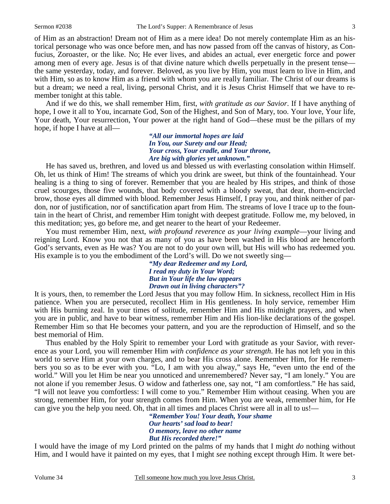of Him as an abstraction! Dream not of Him as a mere idea! Do not merely contemplate Him as an historical personage who was once before men, and has now passed from off the canvas of history, as Confucius, Zoroaster, or the like. No; He ever lives, and abides an actual, ever energetic force and power among men of every age. Jesus is of that divine nature which dwells perpetually in the present tense the same yesterday, today, and forever. Beloved, as you live by Him, you must learn to live in Him, and with Him, so as to know Him as a friend with whom you are really familiar. The Christ of our dreams is but a dream; we need a real, living, personal Christ, and it is Jesus Christ Himself that we have to remember tonight at this table.

And if we do this, we shall remember Him, first, *with gratitude as our Savior*. If I have anything of hope, I owe it all to You, incarnate God, Son of the Highest, and Son of Mary, too. Your love, Your life, Your death, Your resurrection, Your power at the right hand of God—these must be the pillars of my hope, if hope I have at all—

> *"All our immortal hopes are laid In You, our Surety and our Head; Your cross, Your cradle, and Your throne, Are big with glories yet unknown."*

He has saved us, brethren, and loved us and blessed us with everlasting consolation within Himself. Oh, let us think of Him! The streams of which you drink are sweet, but think of the fountainhead. Your healing is a thing to sing of forever. Remember that you are healed by His stripes, and think of those cruel scourges, those five wounds, that body covered with a bloody sweat, that dear, thorn-encircled brow, those eyes all dimmed with blood. Remember Jesus Himself, I pray you, and think neither of pardon, nor of justification, nor of sanctification apart from Him. The streams of love I trace up to the fountain in the heart of Christ, and remember Him tonight with deepest gratitude. Follow me, my beloved, in this meditation; yes, go before me, and get nearer to the heart of your Redeemer.

You must remember Him, next, *with profound reverence as your living example*—your living and reigning Lord. Know you not that as many of you as have been washed in His blood are henceforth God's servants, even as He was? You are not to do your own will, but His will who has redeemed you. His example is to you the embodiment of the Lord's will. Do we not sweetly sing—

> *"My dear Redeemer and my Lord, I read my duty in Your Word; But in Your life the law appears Drawn out in living characters"?*

It is yours, then, to remember the Lord Jesus that you may follow Him. In sickness, recollect Him in His patience. When you are persecuted, recollect Him in His gentleness. In holy service, remember Him with His burning zeal. In your times of solitude, remember Him and His midnight prayers, and when you are in public, and have to bear witness, remember Him and His lion-like declarations of the gospel. Remember Him so that He becomes your pattern, and you are the reproduction of Himself, and so the best memorial of Him.

Thus enabled by the Holy Spirit to remember your Lord with gratitude as your Savior, with reverence as your Lord, you will remember Him *with confidence as your strength*. He has not left you in this world to serve Him at your own charges, and to bear His cross alone. Remember Him, for He remembers you so as to be ever with you. "Lo, I am with you alway," says He, "even unto the end of the world." Will you let Him be near you unnoticed and unremembered? Never say, "I am lonely." You are not alone if you remember Jesus. O widow and fatherless one, say not, "I am comfortless." He has said, "I will not leave you comfortless: I will come to you." Remember Him without ceasing. When you are strong, remember Him, for your strength comes from Him. When you are weak, remember him, for He can give you the help you need. Oh, that in all times and places Christ were all in all to us!—

> *"Remember You! Your death, Your shame Our hearts' sad load to bear! O memory, leave no other name But His recorded there!"*

I would have the image of my Lord printed on the palms of my hands that I might *do* nothing without Him, and I would have it painted on my eyes, that I might *see* nothing except through Him. It were bet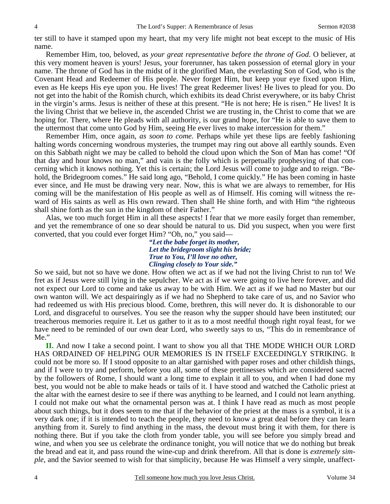ter still to have it stamped upon my heart, that my very life might not beat except to the music of His name.

Remember Him, too, beloved, as *your great representative before the throne of God*. O believer, at this very moment heaven is yours! Jesus, your forerunner, has taken possession of eternal glory in your name. The throne of God has in the midst of it the glorified Man, the everlasting Son of God, who is the Covenant Head and Redeemer of His people. Never forget Him, but keep your eye fixed upon Him, even as He keeps His eye upon you. He lives! The great Redeemer lives! He lives to plead for you. Do not get into the habit of the Romish church, which exhibits its dead Christ everywhere, or its baby Christ in the virgin's arms. Jesus is neither of these at this present. "He is not here; He is risen." He lives! It is the living Christ that we believe in, the ascended Christ we are trusting in, the Christ to come that we are hoping for. There, where He pleads with all authority, is our grand hope, for "He is able to save them to the uttermost that come unto God by Him, seeing He ever lives to make intercession for them."

Remember Him, once again, *as soon to come*. Perhaps while yet these lips are feebly fashioning halting words concerning wondrous mysteries, the trumpet may ring out above all earthly sounds. Even on this Sabbath night we may be called to behold the cloud upon which the Son of Man has come! "Of that day and hour knows no man," and vain is the folly which is perpetually prophesying of that concerning which it knows nothing. Yet this is certain; the Lord Jesus will come to judge and to reign. "Behold, the Bridegroom comes." He said long ago, "Behold, I come quickly." He has been coming in haste ever since, and He must be drawing very near. Now, this is what we are always to remember, for His coming will be the manifestation of His people as well as of Himself. His coming will witness the reward of His saints as well as His own reward. Then shall He shine forth, and with Him "the righteous shall shine forth as the sun in the kingdom of their Father."

Alas, we too much forget Him in all these aspects! I fear that we more easily forget than remember, and yet the remembrance of one so dear should be natural to us. Did you suspect, when you were first converted, that you could ever forget Him? "Oh, no," you said—

*"Let the babe forget its mother, Let the bridegroom slight his bride; True to You, I'll love no other, Clinging closely to Your side."* 

So we said, but not so have we done. How often we act as if we had not the living Christ to run to! We fret as if Jesus were still lying in the sepulcher. We act as if we were going to live here forever, and did not expect our Lord to come and take us away to be with Him. We act as if we had no Master but our own wanton will. We act despairingly as if we had no Shepherd to take care of us, and no Savior who had redeemed us with His precious blood. Come, brethren, this will never do. It is dishonorable to our Lord, and disgraceful to ourselves. You see the reason why the supper should have been instituted; our treacherous memories require it. Let us gather to it as to a most needful though right royal feast, for we have need to be reminded of our own dear Lord, who sweetly says to us, "This do in remembrance of Me."

**II.** And now I take a second point. I want to show you all that THE MODE WHICH OUR LORD HAS ORDAINED OF HELPING OUR MEMORIES IS IN ITSELF EXCEEDINGLY STRIKING. It could not be more so. If I stood opposite to an altar garnished with paper roses and other childish things, and if I were to try and perform, before you all, some of these prettinesses which are considered sacred by the followers of Rome, I should want a long time to explain it all to you, and when I had done my best, you would not be able to make heads or tails of it. I have stood and watched the Catholic priest at the altar with the earnest desire to see if there was anything to be learned, and I could not learn anything. I could not make out what the ornamental person was at. I think I have read as much as most people about such things, but it does seem to me that if the behavior of the priest at the mass is a symbol, it is a very dark one; if it is intended to teach the people, they need to know a great deal before they can learn anything from it. Surely to find anything in the mass, the devout must bring it with them, for there is nothing there. But if you take the cloth from yonder table, you will see before you simply bread and wine, and when you see us celebrate the ordinance tonight, you will notice that we do nothing but break the bread and eat it, and pass round the wine-cup and drink therefrom. All that is done is *extremely simple,* and the Savior seemed to wish for that simplicity, because He was Himself a very simple, unaffect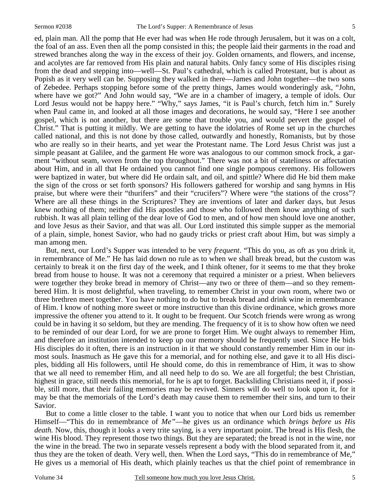ed, plain man. All the pomp that He ever had was when He rode through Jerusalem, but it was on a colt, the foal of an ass. Even then all the pomp consisted in this; the people laid their garments in the road and strewed branches along the way in the excess of their joy. Golden ornaments, and flowers, and incense, and acolytes are far removed from His plain and natural habits. Only fancy some of His disciples rising from the dead and stepping into—well—St. Paul's cathedral, which is called Protestant, but is about as Popish as it very well can be. Supposing they walked in there—James and John together—the two sons of Zebedee. Perhaps stopping before some of the pretty things, James would wonderingly ask, "John, where have we got?" And John would say, "We are in a chamber of imagery, a temple of idols. Our Lord Jesus would not be happy here." "Why," says James, "it is Paul's church, fetch him in." Surely when Paul came in, and looked at all those images and decorations, he would say, "Here I see another gospel, which is not another, but there are some that trouble you, and would pervert the gospel of Christ." That is putting it mildly. We are getting to have the idolatries of Rome set up in the churches called national, and this is not done by those called, outwardly and honestly, Romanists, but by those who are really so in their hearts, and yet wear the Protestant name. The Lord Jesus Christ was just a simple peasant at Galilee, and the garment He wore was analogous to our common smock frock, a garment "without seam, woven from the top throughout." There was not a bit of stateliness or affectation about Him, and in all that He ordained you cannot find one single pompous ceremony. His followers were baptized in water, but where did He ordain salt, and oil, and spittle? Where did He bid them make the sign of the cross or set forth sponsors? His followers gathered for worship and sang hymns in His praise, but where were their "thurifers" and their "crucifers"? Where were "the stations of the cross"? Where are all these things in the Scriptures? They are inventions of later and darker days, but Jesus knew nothing of them; neither did His apostles and those who followed them know anything of such rubbish. It was all plain telling of the dear love of God to men, and of how men should love one another, and love Jesus as their Savior, and that was all. Our Lord instituted this simple supper as the memorial of a plain, simple, honest Savior, who had no gaudy tricks or priest craft about Him, but was simply a man among men.

But, next, our Lord's Supper was intended to be very *frequent*. "This do you, as oft as you drink it, in remembrance of Me." He has laid down no rule as to when we shall break bread, but the custom was certainly to break it on the first day of the week, and I think oftener, for it seems to me that they broke bread from house to house. It was not a ceremony that required a minister or a priest. When believers were together they broke bread in memory of Christ—any two or three of them—and so they remembered Him. It is most delightful, when traveling, to remember Christ in your own room, where two or three brethren meet together. You have nothing to do but to break bread and drink wine in remembrance of Him. I know of nothing more sweet or more instructive than this divine ordinance, which grows more impressive the oftener you attend to it. It ought to be frequent. Our Scotch friends were wrong as wrong could be in having it so seldom, but they are mending. The frequency of it is to show how often we need to be reminded of our dear Lord, for we are prone to forget Him. We ought always to remember Him, and therefore an institution intended to keep up our memory should be frequently used. Since He bids His disciples do it often, there is an instruction in it that we should constantly remember Him in our inmost souls. Inasmuch as He gave this for a memorial, and for nothing else, and gave it to all His disciples, bidding all His followers, until He should come, do this in remembrance of Him, it was to show that we all need to remember Him, and all need help to do so. We are all forgetful; the best Christian, highest in grace, still needs this memorial, for he is apt to forget. Backsliding Christians need it, if possible, still more, that their failing memories may be revived. Sinners will do well to look upon it, for it may be that the memorials of the Lord's death may cause them to remember their sins, and turn to their Savior.

But to come a little closer to the table. I want you to notice that when our Lord bids us remember Himself—"This do in remembrance of *Me"*—he gives us an ordinance which *brings before us His death.* Now, this, though it looks a very trite saying, is a very important point. The bread is His flesh, the wine His blood. They represent those two things. But they are separated; the bread is not in the wine, nor the wine in the bread. The two in separate vessels represent a body with the blood separated from it, and thus they are the token of death. Very well, then. When the Lord says, "This do in remembrance of Me," He gives us a memorial of His death, which plainly teaches us that the chief point of remembrance in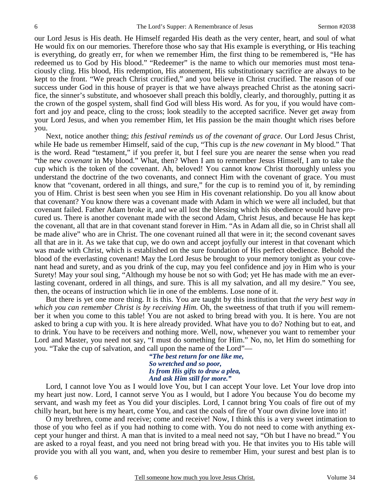our Lord Jesus is His death. He Himself regarded His death as the very center, heart, and soul of what He would fix on our memories. Therefore those who say that His example is everything, or His teaching is everything, do greatly err, for when we remember Him, the first thing to be remembered is, "He has redeemed us to God by His blood." "Redeemer" is the name to which our memories must most tenaciously cling. His blood, His redemption, His atonement, His substitutionary sacrifice are always to be kept to the front. "We preach Christ crucified," and you believe in Christ crucified. The reason of our success under God in this house of prayer is that we have always preached Christ as the atoning sacrifice, the sinner's substitute, and whosoever shall preach this boldly, clearly, and thoroughly, putting it as the crown of the gospel system, shall find God will bless His word. As for you, if you would have comfort and joy and peace, cling to the cross; look steadily to the accepted sacrifice. Never get away from your Lord Jesus, and when you remember Him, let His passion be the main thought which rises before you.

Next, notice another thing; *this festival reminds us of the covenant of grace*. Our Lord Jesus Christ, while He bade us remember Himself, said of the cup, "This cup is *the new covenant* in My blood." That is the word. Read "testament," if you prefer it, but I feel sure you are nearer the sense when you read "the new *covenant* in My blood." What, then? When I am to remember Jesus Himself, I am to take the cup which is the token of the covenant. Ah, beloved! You cannot know Christ thoroughly unless you understand the doctrine of the two covenants, and connect Him with the covenant of grace. You must know that "covenant, ordered in all things, and sure," for the cup is to remind you of it, by reminding you of Him. Christ is best seen when you see Him in His covenant relationship. Do you all know about that covenant? You know there was a covenant made with Adam in which we were all included, but that covenant failed. Father Adam broke it, and we all lost the blessing which his obedience would have procured us. There is another covenant made with the second Adam, Christ Jesus, and because He has kept the covenant, all that are in that covenant stand forever in Him. "As in Adam all die, so in Christ shall all be made alive" who are in Christ. The one covenant ruined all that were in it; the second covenant saves all that are in it. As we take that cup, we do own and accept joyfully our interest in that covenant which was made with Christ, which is established on the sure foundation of His perfect obedience. Behold the blood of the everlasting covenant! May the Lord Jesus be brought to your memory tonight as your covenant head and surety, and as you drink of the cup, may you feel confidence and joy in Him who is your Surety! May your soul sing, "Although my house be not so with God; yet He has made with me an everlasting covenant, ordered in all things, and sure. This is all my salvation, and all my desire." You see, then, the oceans of instruction which lie in one of the emblems. Lose none of it.

But there is yet one more thing. It is this. You are taught by this institution that *the very best way in which you can remember Christ is by receiving Him.* Oh, the sweetness of that truth if you will remember it when you come to this table! You are not asked to bring bread with you. It is here. You are not asked to bring a cup with you. It is here already provided. What have you to do? Nothing but to eat, and to drink. You have to be receivers and nothing more. Well, now, whenever you want to remember your Lord and Master, you need not say, "I must do something for Him." No, no, let Him do something for you. "Take the cup of salvation, and call upon the name of the Lord"—

*"The best return for one like me, So wretched and so poor, Is from His gifts to draw a plea, And ask Him still for more."* 

Lord, I cannot love You as I would love You, but I can accept Your love. Let Your love drop into my heart just now. Lord, I cannot serve You as I would, but I adore You because You do become my servant, and wash my feet as You did your disciples. Lord, I cannot bring You coals of fire out of my chilly heart, but here is my heart, come You, and cast the coals of fire of Your own divine love into it!

O my brethren, come and receive; come and receive! Now, I think this is a very sweet intimation to those of you who feel as if you had nothing to come with. You do not need to come with anything except your hunger and thirst. A man that is invited to a meal need not say, "Oh but I have no bread." You are asked to a royal feast, and you need not bring bread with you. He that invites you to His table will provide you with all you want, and, when you desire to remember Him, your surest and best plan is to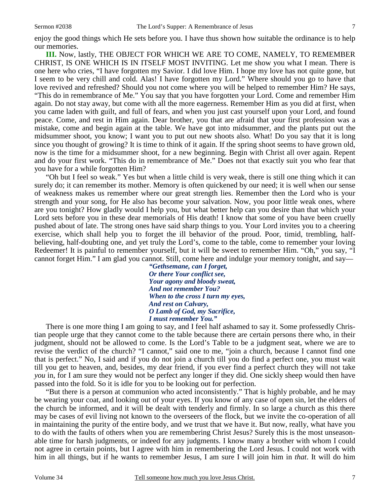enjoy the good things which He sets before you. I have thus shown how suitable the ordinance is to help our memories.

**III.** Now, lastly, THE OBJECT FOR WHICH WE ARE TO COME, NAMELY, TO REMEMBER CHRIST, IS ONE WHICH IS IN ITSELF MOST INVITING. Let me show you what I mean. There is one here who cries, "I have forgotten my Savior. I did love Him. I hope my love has not quite gone, but I seem to be very chill and cold. Alas! I have forgotten my Lord." Where should you go to have that love revived and refreshed? Should you not come where you will be helped to remember Him? He says, "This do in remembrance of Me." You say that you have forgotten your Lord. Come and remember Him again. Do not stay away, but come with all the more eagerness. Remember Him as you did at first, when you came laden with guilt, and full of fears, and when you just cast yourself upon your Lord, and found peace. Come, and rest in Him again. Dear brother, you that are afraid that your first profession was a mistake, come and begin again at the table. We have got into midsummer, and the plants put out the midsummer shoot, you know; I want you to put out new shoots also. What! Do you say that it is long since you thought of growing? It is time to think of it again. If the spring shoot seems to have grown old, now is the time for a midsummer shoot, for a new beginning. Begin with Christ all over again. Repent and do your first work. "This do in remembrance of Me." Does not that exactly suit you who fear that you have for a while forgotten Him?

"Oh but I feel so weak." Yes but when a little child is very weak, there is still one thing which it can surely do; it can remember its mother. Memory is often quickened by our need; it is well when our sense of weakness makes us remember where our great strength lies. Remember then the Lord who is your strength and your song, for He also has become your salvation. Now, you poor little weak ones, where are you tonight? How gladly would I help you, but what better help can you desire than that which your Lord sets before you in these dear memorials of His death! I know that some of you have been cruelly pushed about of late. The strong ones have said sharp things to you. Your Lord invites you to a cheering exercise, which shall help you to forget the ill behavior of the proud. Poor, timid, trembling, halfbelieving, half-doubting one, and yet truly the Lord's, come to the table, come to remember your loving Redeemer! It is painful to remember yourself, but it will be sweet to remember Him. "Oh," you say, "I cannot forget Him." I am glad you cannot. Still, come here and indulge your memory tonight, and say—

*"Gethsemane, can I forget, Or there Your conflict see, Your agony and bloody sweat, And not remember You? When to the cross I turn my eyes, And rest on Calvary, O Lamb of God, my Sacrifice, I must remember You."* 

There is one more thing I am going to say, and I feel half ashamed to say it. Some professedly Christian people urge that they cannot come to the table because there are certain persons there who, in their judgment, should not be allowed to come. Is the Lord's Table to be a judgment seat, where we are to revise the verdict of the church? "I cannot," said one to me, "join a church, because I cannot find one that is perfect." No, I said and if you do not join a church till you do find a perfect one, you must wait till you get to heaven, and, besides, my dear friend, if you ever find a perfect church they will not take *you* in, for I am sure they would not be perfect any longer if they did. One sickly sheep would then have passed into the fold. So it is idle for you to be looking out for perfection.

"But there is a person at communion who acted inconsistently." That is highly probable, and he may be wearing your coat, and looking out of your eyes. If you know of any case of open sin, let the elders of the church be informed, and it will be dealt with tenderly and firmly. In so large a church as this there may be cases of evil living not known to the overseers of the flock, but we invite the co-operation of all in maintaining the purity of the entire body, and we trust that we have it. But now, really, what have you to do with the faults of others when you are remembering Christ Jesus? Surely this is the most unseasonable time for harsh judgments, or indeed for any judgments. I know many a brother with whom I could not agree in certain points, but I agree with him in remembering the Lord Jesus. I could not work with him in all things, but if he wants to remember Jesus, I am sure I will join him in *that*. It will do him